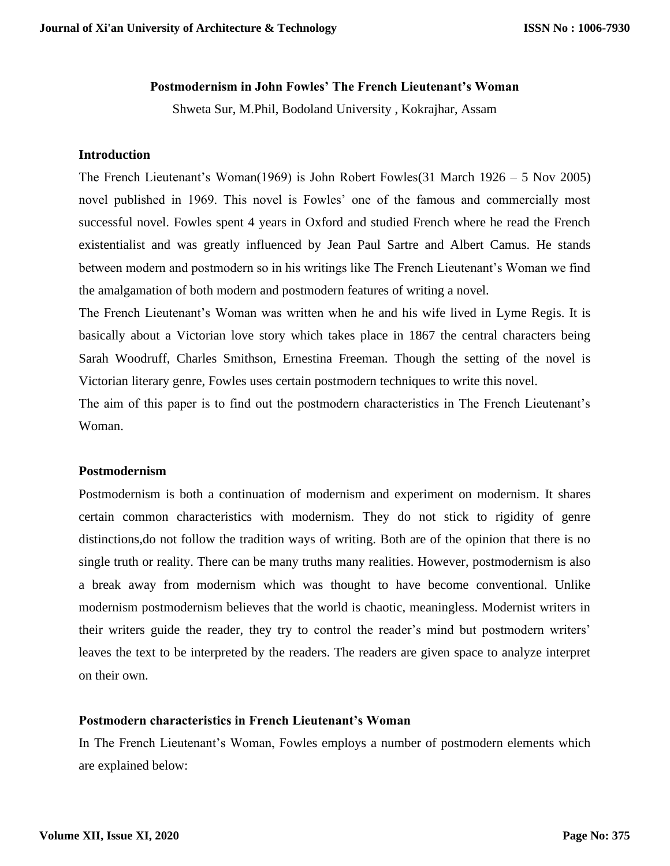# **Postmodernism in John Fowles' The French Lieutenant's Woman**

Shweta Sur, M.Phil, Bodoland University , Kokrajhar, Assam

### **Introduction**

The French Lieutenant's Woman(1969) is John Robert Fowles(31 March 1926 – 5 Nov 2005) novel published in 1969. This novel is Fowles' one of the famous and commercially most successful novel. Fowles spent 4 years in Oxford and studied French where he read the French existentialist and was greatly influenced by Jean Paul Sartre and Albert Camus. He stands between modern and postmodern so in his writings like The French Lieutenant's Woman we find the amalgamation of both modern and postmodern features of writing a novel.

The French Lieutenant's Woman was written when he and his wife lived in Lyme Regis. It is basically about a Victorian love story which takes place in 1867 the central characters being Sarah Woodruff, Charles Smithson, Ernestina Freeman. Though the setting of the novel is Victorian literary genre, Fowles uses certain postmodern techniques to write this novel.

The aim of this paper is to find out the postmodern characteristics in The French Lieutenant's Woman.

#### **Postmodernism**

Postmodernism is both a continuation of modernism and experiment on modernism. It shares certain common characteristics with modernism. They do not stick to rigidity of genre distinctions,do not follow the tradition ways of writing. Both are of the opinion that there is no single truth or reality. There can be many truths many realities. However, postmodernism is also a break away from modernism which was thought to have become conventional. Unlike modernism postmodernism believes that the world is chaotic, meaningless. Modernist writers in their writers guide the reader, they try to control the reader's mind but postmodern writers' leaves the text to be interpreted by the readers. The readers are given space to analyze interpret on their own.

# **Postmodern characteristics in French Lieutenant's Woman**

In The French Lieutenant's Woman, Fowles employs a number of postmodern elements which are explained below: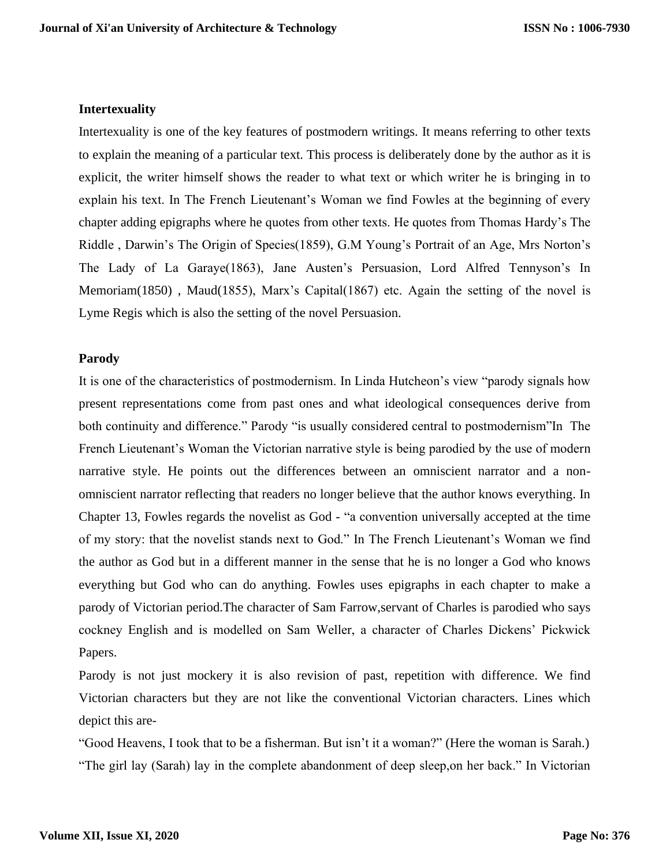# **Intertexuality**

Intertexuality is one of the key features of postmodern writings. It means referring to other texts to explain the meaning of a particular text. This process is deliberately done by the author as it is explicit, the writer himself shows the reader to what text or which writer he is bringing in to explain his text. In The French Lieutenant's Woman we find Fowles at the beginning of every chapter adding epigraphs where he quotes from other texts. He quotes from Thomas Hardy's The Riddle , Darwin's The Origin of Species(1859), G.M Young's Portrait of an Age, Mrs Norton's The Lady of La Garaye(1863), Jane Austen's Persuasion, Lord Alfred Tennyson's In Memoriam(1850), Maud(1855), Marx's Capital(1867) etc. Again the setting of the novel is Lyme Regis which is also the setting of the novel Persuasion.

## **Parody**

It is one of the characteristics of postmodernism. In Linda Hutcheon's view "parody signals how present representations come from past ones and what ideological consequences derive from both continuity and difference." Parody "is usually considered central to postmodernism"In The French Lieutenant's Woman the Victorian narrative style is being parodied by the use of modern narrative style. He points out the differences between an omniscient narrator and a nonomniscient narrator reflecting that readers no longer believe that the author knows everything. In Chapter 13, Fowles regards the novelist as God - "a convention universally accepted at the time of my story: that the novelist stands next to God." In The French Lieutenant's Woman we find the author as God but in a different manner in the sense that he is no longer a God who knows everything but God who can do anything. Fowles uses epigraphs in each chapter to make a parody of Victorian period.The character of Sam Farrow,servant of Charles is parodied who says cockney English and is modelled on Sam Weller, a character of Charles Dickens' Pickwick Papers.

Parody is not just mockery it is also revision of past, repetition with difference. We find Victorian characters but they are not like the conventional Victorian characters. Lines which depict this are-

"Good Heavens, I took that to be a fisherman. But isn't it a woman?" (Here the woman is Sarah.) "The girl lay (Sarah) lay in the complete abandonment of deep sleep,on her back." In Victorian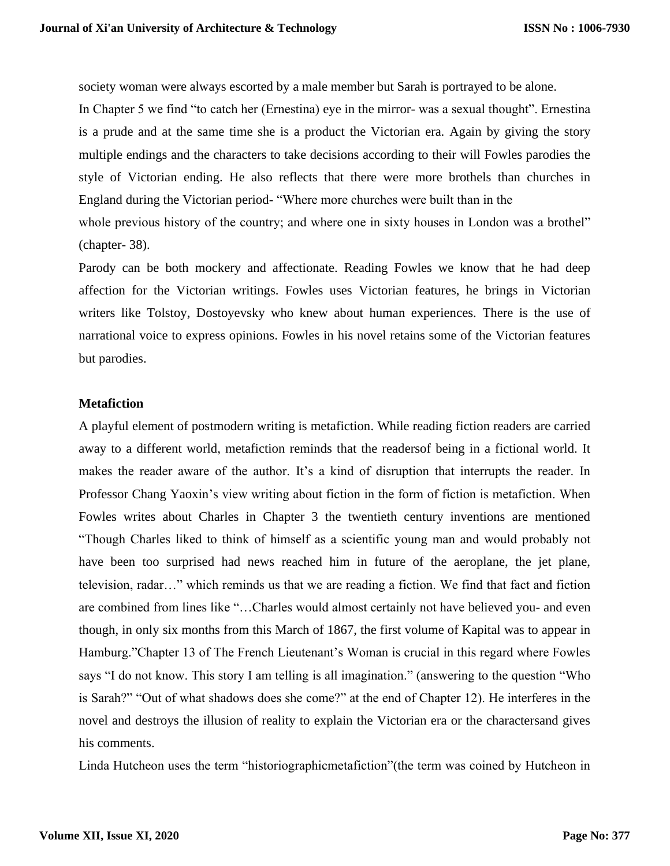society woman were always escorted by a male member but Sarah is portrayed to be alone.

In Chapter 5 we find "to catch her (Ernestina) eye in the mirror- was a sexual thought". Ernestina is a prude and at the same time she is a product the Victorian era. Again by giving the story multiple endings and the characters to take decisions according to their will Fowles parodies the style of Victorian ending. He also reflects that there were more brothels than churches in England during the Victorian period- "Where more churches were built than in the whole previous history of the country; and where one in sixty houses in London was a brothel" (chapter- 38).

Parody can be both mockery and affectionate. Reading Fowles we know that he had deep affection for the Victorian writings. Fowles uses Victorian features, he brings in Victorian writers like Tolstoy, Dostoyevsky who knew about human experiences. There is the use of narrational voice to express opinions. Fowles in his novel retains some of the Victorian features but parodies.

# **Metafiction**

A playful element of postmodern writing is metafiction. While reading fiction readers are carried away to a different world, metafiction reminds that the readersof being in a fictional world. It makes the reader aware of the author. It's a kind of disruption that interrupts the reader. In Professor Chang Yaoxin's view writing about fiction in the form of fiction is metafiction. When Fowles writes about Charles in Chapter 3 the twentieth century inventions are mentioned "Though Charles liked to think of himself as a scientific young man and would probably not have been too surprised had news reached him in future of the aeroplane, the jet plane, television, radar…" which reminds us that we are reading a fiction. We find that fact and fiction are combined from lines like "…Charles would almost certainly not have believed you- and even though, in only six months from this March of 1867, the first volume of Kapital was to appear in Hamburg."Chapter 13 of The French Lieutenant's Woman is crucial in this regard where Fowles says "I do not know. This story I am telling is all imagination." (answering to the question "Who is Sarah?" "Out of what shadows does she come?" at the end of Chapter 12). He interferes in the novel and destroys the illusion of reality to explain the Victorian era or the charactersand gives his comments.

Linda Hutcheon uses the term "historiographicmetafiction"(the term was coined by Hutcheon in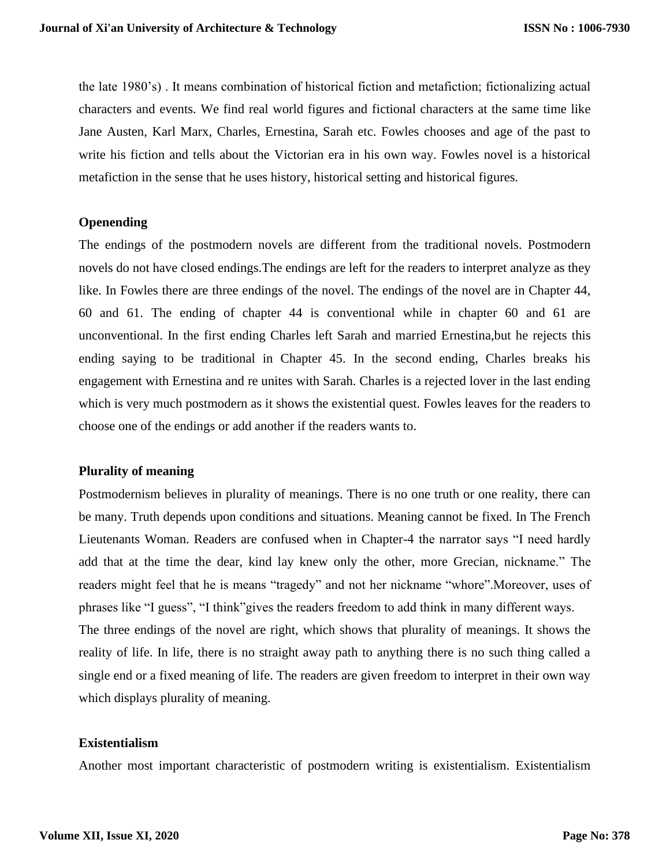the late 1980's) . It means combination of historical fiction and metafiction; fictionalizing actual characters and events. We find real world figures and fictional characters at the same time like Jane Austen, Karl Marx, Charles, Ernestina, Sarah etc. Fowles chooses and age of the past to write his fiction and tells about the Victorian era in his own way. Fowles novel is a historical metafiction in the sense that he uses history, historical setting and historical figures.

## **Openending**

The endings of the postmodern novels are different from the traditional novels. Postmodern novels do not have closed endings.The endings are left for the readers to interpret analyze as they like. In Fowles there are three endings of the novel. The endings of the novel are in Chapter 44, 60 and 61. The ending of chapter 44 is conventional while in chapter 60 and 61 are unconventional. In the first ending Charles left Sarah and married Ernestina,but he rejects this ending saying to be traditional in Chapter 45. In the second ending, Charles breaks his engagement with Ernestina and re unites with Sarah. Charles is a rejected lover in the last ending which is very much postmodern as it shows the existential quest. Fowles leaves for the readers to choose one of the endings or add another if the readers wants to.

### **Plurality of meaning**

Postmodernism believes in plurality of meanings. There is no one truth or one reality, there can be many. Truth depends upon conditions and situations. Meaning cannot be fixed. In The French Lieutenants Woman. Readers are confused when in Chapter-4 the narrator says "I need hardly add that at the time the dear, kind lay knew only the other, more Grecian, nickname." The readers might feel that he is means "tragedy" and not her nickname "whore".Moreover, uses of phrases like "I guess", "I think"gives the readers freedom to add think in many different ways. The three endings of the novel are right, which shows that plurality of meanings. It shows the reality of life. In life, there is no straight away path to anything there is no such thing called a single end or a fixed meaning of life. The readers are given freedom to interpret in their own way which displays plurality of meaning.

#### **Existentialism**

Another most important characteristic of postmodern writing is existentialism. Existentialism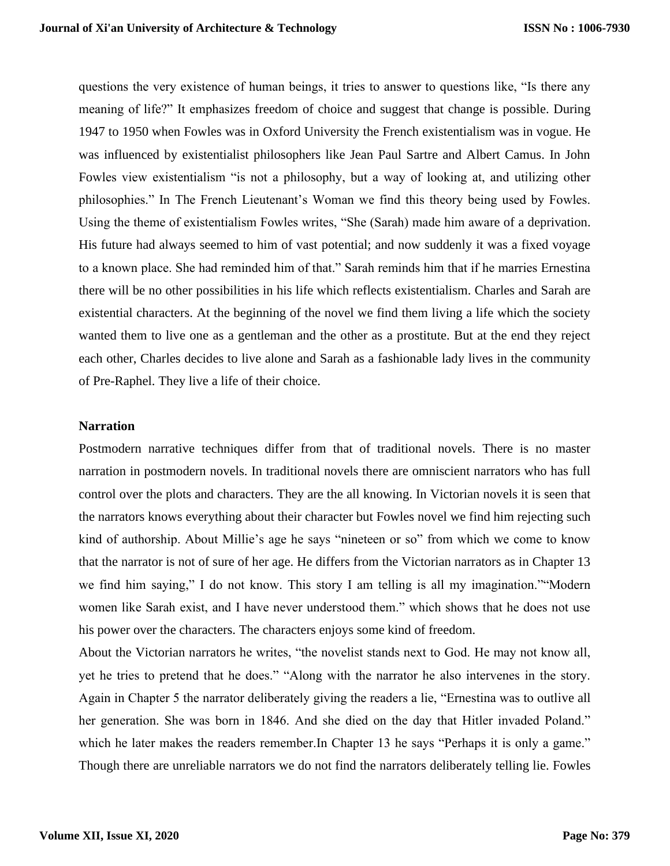questions the very existence of human beings, it tries to answer to questions like, "Is there any meaning of life?" It emphasizes freedom of choice and suggest that change is possible. During 1947 to 1950 when Fowles was in Oxford University the French existentialism was in vogue. He was influenced by existentialist philosophers like Jean Paul Sartre and Albert Camus. In John Fowles view existentialism "is not a philosophy, but a way of looking at, and utilizing other philosophies." In The French Lieutenant's Woman we find this theory being used by Fowles. Using the theme of existentialism Fowles writes, "She (Sarah) made him aware of a deprivation. His future had always seemed to him of vast potential; and now suddenly it was a fixed voyage to a known place. She had reminded him of that." Sarah reminds him that if he marries Ernestina there will be no other possibilities in his life which reflects existentialism. Charles and Sarah are existential characters. At the beginning of the novel we find them living a life which the society wanted them to live one as a gentleman and the other as a prostitute. But at the end they reject each other, Charles decides to live alone and Sarah as a fashionable lady lives in the community of Pre-Raphel. They live a life of their choice.

#### **Narration**

Postmodern narrative techniques differ from that of traditional novels. There is no master narration in postmodern novels. In traditional novels there are omniscient narrators who has full control over the plots and characters. They are the all knowing. In Victorian novels it is seen that the narrators knows everything about their character but Fowles novel we find him rejecting such kind of authorship. About Millie's age he says "nineteen or so" from which we come to know that the narrator is not of sure of her age. He differs from the Victorian narrators as in Chapter 13 we find him saying," I do not know. This story I am telling is all my imagination.""Modern women like Sarah exist, and I have never understood them." which shows that he does not use his power over the characters. The characters enjoys some kind of freedom.

About the Victorian narrators he writes, "the novelist stands next to God. He may not know all, yet he tries to pretend that he does." "Along with the narrator he also intervenes in the story. Again in Chapter 5 the narrator deliberately giving the readers a lie, "Ernestina was to outlive all her generation. She was born in 1846. And she died on the day that Hitler invaded Poland." which he later makes the readers remember. In Chapter 13 he says "Perhaps it is only a game." Though there are unreliable narrators we do not find the narrators deliberately telling lie. Fowles